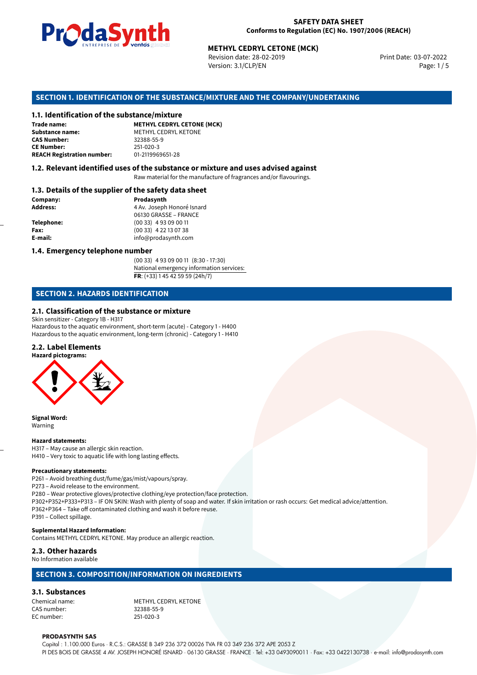

Revision date: 28-02-2019 Version: 3.1/CLP/EN Page: 1 / 5

Print Date: 03-07-2022

# **METHYL CEDRYL CETONE (MCK)**<br>
Revision date: 28-02-2019<br>
Version: 3.1/CLP/EN<br> **OF THE SUBSTANCE/MIXTURE AND THE COMPANY/UN<br>
tance/mixture<br>
METHYL CEDRYL CETONE (MCK) SECTION 1. IDENTIFICATION OF THE SUBSTANCE/MIXTURE AND THE COMPANY/UNDERTAKING**

#### **1.1. Identification of the substance/mixture**

**Trade name: Substance name:** METHYL CEDRYL KETONE<br> **CAS Number:** 32388-55-9 **CAS Number:** 32388-55-9 **CE Number:** 251-020-3<br>**REACH Registration number:** 01-2119969651-28 **REACH Registration number:** 

#### **1.2. Relevant identified uses of the substance or mixture and uses advised against**

Raw material for the manufacture of fragrances and/or flavourings.

#### **1.3. Details of the supplier of the safety data sheet**

| Prodasynth                 |  |
|----------------------------|--|
| 4 Av. Joseph Honoré Isnard |  |
| 06130 GRASSE - FRANCE      |  |
| $(0033)$ 4 93 09 00 11     |  |
| $(0033)$ 4 22 13 07 38     |  |
| info@prodasynth.com        |  |
|                            |  |

#### **1.4. Emergency telephone number**

(00 33) 4 93 09 00 11 (8:30 - 17:30) National emergency information services: **FR**: (+33) 1 45 42 59 59 (24h/7)

#### **SECTION 2. HAZARDS IDENTIFICATION**

#### **2.1. Classification of the substance or mixture**

Skin sensitizer - Category 1B - H317 Hazardous to the aquatic environment, short-term (acute) - Category 1 - H400 Hazardous to the aquatic environment, long-term (chronic) - Category 1 - H410

#### **2.2. Label Elements**

**Hazard pictograms:**



**Signal Word:** Warning

#### **Hazard statements:**

H317 – May cause an allergic skin reaction. H410 – Very toxic to aquatic life with long lasting effects.

#### **Precautionary statements:**

P261 – Avoid breathing dust/fume/gas/mist/vapours/spray.

P273 – Avoid release to the environment.

P280 – Wear protective gloves/protective clothing/eye protection/face protection.

P302+P352+P333+P313 – IF ON SKIN: Wash with plenty of soap and water. If skin irritation or rash occurs: Get medical advice/attention. P362+P364 – Take off contaminated clothing and wash it before reuse.

P391 – Collect spillage.

#### **Suplemental Hazard Information:**

Contains METHYL CEDRYL KETONE. May produce an allergic reaction.

**2.3. Other hazards**

#### No Information available

#### **SECTION 3. COMPOSITION/INFORMATION ON INGREDIENTS**

#### **3.1. Substances**

CAS number: 32388-55-9 EC number:

Chemical name: METHYL CEDRYL KETONE

#### **PRODASYNTH SAS**

Capital : 1.100.000 Euros · R.C.S.: GRASSE B 349 236 372 00026 TVA FR 03 349 236 372 APE 2053 Z PI DES BOIS DE GRASSE 4 AV. JOSEPH HONORÉ ISNARD · 06130 GRASSE · FRANCE · Tel: +33 0493090011 · Fax: +33 0422130738 · e-mail: info@prodasynth.com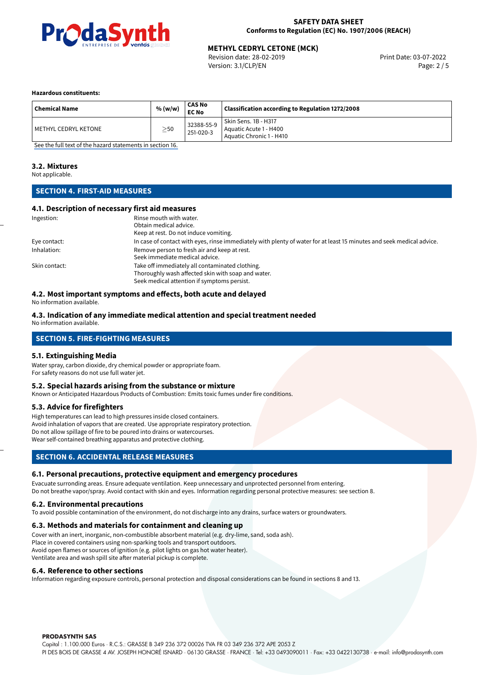

#### **SAFETY DATA SHEET Conforms to Regulation (EC) No. 1907/2006 (REACH)**

## **METHYL CEDRYL CETONE (MCK)**<br>
Revision date: 28-02-2019<br> **Print Date: 03-07-2022**

Revision date: 28-02-2019 Version: 3.1/CLP/EN Page: 2 / 5

#### **Hazardous constituents:**

| <b>Chemical Name</b> | % (w/w)   | CAS No<br><b>EC No</b>  | Classification according to Regulation 1272/2008                           |
|----------------------|-----------|-------------------------|----------------------------------------------------------------------------|
| METHYL CEDRYL KETONE | $\geq$ 50 | 32388-55-9<br>251-020-3 | Skin Sens. 1B - H317<br>Aquatic Acute 1 - H400<br>Aquatic Chronic 1 - H410 |

[See the full text of the hazard statements in section 16.](#page-4-0)

#### **3.2. Mixtures**

Not applicable.

#### **SECTION 4. FIRST-AID MEASURES**

#### **4.1. Description of necessary first aid measures**

| Ingestion:    | Rinse mouth with water.                                                                                               |
|---------------|-----------------------------------------------------------------------------------------------------------------------|
|               | Obtain medical advice.                                                                                                |
|               | Keep at rest. Do not induce vomiting.                                                                                 |
| Eye contact:  | In case of contact with eyes, rinse immediately with plenty of water for at least 15 minutes and seek medical advice. |
| Inhalation:   | Remove person to fresh air and keep at rest.                                                                          |
|               | Seek immediate medical advice.                                                                                        |
| Skin contact: | Take off immediately all contaminated clothing.                                                                       |
|               | Thoroughly wash affected skin with soap and water.                                                                    |
|               | Seek medical attention if symptoms persist.                                                                           |

#### **4.2. Most important symptoms and effects, both acute and delayed**

No information available.

#### **4.3. Indication of any immediate medical attention and special treatment needed**

No information available.

#### **SECTION 5. FIRE-FIGHTING MEASURES**

#### **5.1. Extinguishing Media**

Water spray, carbon dioxide, dry chemical powder or appropriate foam. For safety reasons do not use full water jet.

#### **5.2. Special hazards arising from the substance or mixture**

Known or Anticipated Hazardous Products of Combustion: Emits toxic fumes under fire conditions.

#### **5.3. Advice for firefighters**

High temperatures can lead to high pressures inside closed containers. Avoid inhalation of vapors that are created. Use appropriate respiratory protection. Do not allow spillage of fire to be poured into drains or watercourses. Wear self-contained breathing apparatus and protective clothing.

#### **SECTION 6. ACCIDENTAL RELEASE MEASURES**

#### **6.1. Personal precautions, protective equipment and emergency procedures**

Evacuate surronding areas. Ensure adequate ventilation. Keep unnecessary and unprotected personnel from entering. Do not breathe vapor/spray. Avoid contact with skin and eyes. Information regarding personal protective measures: see section 8.

#### **6.2. Environmental precautions**

To avoid possible contamination of the environment, do not discharge into any drains, surface waters or groundwaters.

#### **6.3. Methods and materials for containment and cleaning up**

Cover with an inert, inorganic, non-combustible absorbent material (e.g. dry-lime, sand, soda ash). Place in covered containers using non-sparking tools and transport outdoors. Avoid open flames or sources of ignition (e.g. pilot lights on gas hot water heater). Ventilate area and wash spill site after material pickup is complete.

#### **6.4. Reference to other sections**

Information regarding exposure controls, personal protection and disposal considerations can be found in sections 8 and 13.

#### **PRODASYNTH SAS**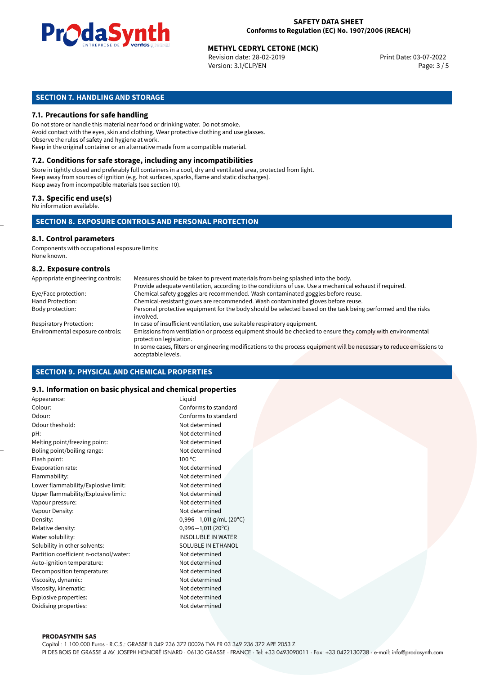

## **METHYL CEDRYL CETONE (MCK)**<br>
Revision date: 28-02-2019<br>
Print Date: 03-07-2022

Revision date: 28-02-2019 Version: 3.1/CLP/EN Page: 3 / 5

#### **SECTION 7. HANDLING AND STORAGE**

#### **7.1. Precautions for safe handling**

Do not store or handle this material near food or drinking water. Do not smoke. Avoid contact with the eyes, skin and clothing. Wear protective clothing and use glasses. Observe the rules of safety and hygiene at work. Keep in the original container or an alternative made from a compatible material.

### **7.2. Conditions for safe storage, including any incompatibilities**

Store in tightly closed and preferably full containers in a cool, dry and ventilated area, protected from light. Keep away from sources of ignition (e.g. hot surfaces, sparks, flame and static discharges). Keep away from incompatible materials (see section 10).

#### **7.3. Specific end use(s)**

No information available.

#### **SECTION 8. EXPOSURE CONTROLS AND PERSONAL PROTECTION**

#### **8.1. Control parameters**

Components with occupational exposure limits: None known.

#### **8.2. Exposure controls**

| Appropriate engineering controls: | Measures should be taken to prevent materials from being splashed into the body.                                                            |
|-----------------------------------|---------------------------------------------------------------------------------------------------------------------------------------------|
|                                   | Provide adequate ventilation, according to the conditions of use. Use a mechanical exhaust if required.                                     |
| Eye/Face protection:              | Chemical safety goggles are recommended. Wash contaminated goggles before reuse.                                                            |
| Hand Protection:                  | Chemical-resistant gloves are recommended. Wash contaminated gloves before reuse.                                                           |
| Body protection:                  | Personal protective equipment for the body should be selected based on the task being performed and the risks<br>involved.                  |
| <b>Respiratory Protection:</b>    | In case of insufficient ventilation, use suitable respiratory equipment.                                                                    |
| Environmental exposure controls:  | Emissions from ventilation or process equipment should be checked to ensure they comply with environmental<br>protection legislation.       |
|                                   | In some cases, filters or engineering modifications to the process equipment will be necessary to reduce emissions to<br>acceptable levels. |

#### **SECTION 9. PHYSICAL AND CHEMICAL PROPERTIES**

#### **9.1. Information on basic physical and chemical properties**

| Appearance:                            | Liguid                    |
|----------------------------------------|---------------------------|
| Colour:                                | Conforms to standard      |
| Odour:                                 | Conforms to standard      |
| Odour theshold:                        | Not determined            |
| pH:                                    | Not determined            |
| Melting point/freezing point:          | Not determined            |
| Boling point/boiling range:            | Not determined            |
| Flash point:                           | 100 °C                    |
| Evaporation rate:                      | Not determined            |
| Flammability:                          | Not determined            |
| Lower flammability/Explosive limit:    | Not determined            |
| Upper flammability/Explosive limit:    | Not determined            |
| Vapour pressure:                       | Not determined            |
| Vapour Density:                        | Not determined            |
| Density:                               | 0,996-1,011 g/mL (20°C)   |
| Relative density:                      | $0,996 - 1,011(20°C)$     |
| Water solubility:                      | <b>INSOLUBLE IN WATER</b> |
| Solubility in other solvents:          | SOLUBLE IN ETHANOL        |
| Partition coefficient n-octanol/water: | Not determined            |
| Auto-ignition temperature:             | Not determined            |
| Decomposition temperature:             | Not determined            |
| Viscosity, dynamic:                    | Not determined            |
| Viscosity, kinematic:                  | Not determined            |
| Explosive properties:                  | Not determined            |
| Oxidising properties:                  | Not determined            |
|                                        |                           |

#### **PRODASYNTH SAS**

Capital : 1.100.000 Euros · R.C.S.: GRASSE B 349 236 372 00026 TVA FR 03 349 236 372 APE 2053 Z PI DES BOIS DE GRASSE 4 AV. JOSEPH HONORÉ ISNARD · 06130 GRASSE · FRANCE · Tel: +33 0493090011 · Fax: +33 0422130738 · e-mail: info@prodasynth.com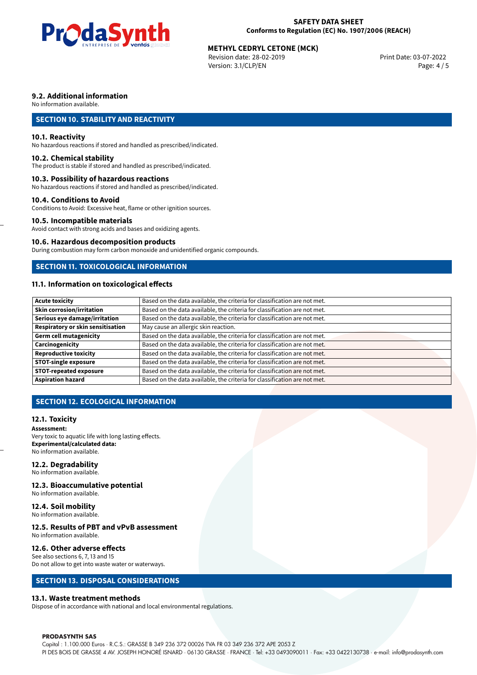

## **METHYL CEDRYL CETONE (MCK)**<br>
Revision date: 28-02-2019<br>
Print Date: 03-07-2022

Revision date: 28-02-2019 Version: 3.1/CLP/EN Page: 4 / 5

#### **9.2. Additional information**

No information available.

#### **SECTION 10. STABILITY AND REACTIVITY**

#### **10.1. Reactivity**

No hazardous reactions if stored and handled as prescribed/indicated.

#### **10.2. Chemical stability**

The product is stable if stored and handled as prescribed/indicated.

#### **10.3. Possibility of hazardous reactions**

No hazardous reactions if stored and handled as prescribed/indicated.

#### **10.4. Conditions to Avoid**

Conditions to Avoid: Excessive heat, flame or other ignition sources.

#### **10.5. Incompatible materials**

Avoid contact with strong acids and bases and oxidizing agents.

#### **10.6. Hazardous decomposition products**

During combustion may form carbon monoxide and unidentified organic compounds.

#### **SECTION 11. TOXICOLOGICAL INFORMATION**

#### **11.1. Information on toxicological effects**

| Acute toxicity                    | Based on the data available, the criteria for classification are not met. |
|-----------------------------------|---------------------------------------------------------------------------|
| <b>Skin corrosion/irritation</b>  | Based on the data available, the criteria for classification are not met. |
| Serious eye damage/irritation     | Based on the data available, the criteria for classification are not met. |
| Respiratory or skin sensitisation | May cause an allergic skin reaction.                                      |
| Germ cell mutagenicity            | Based on the data available, the criteria for classification are not met. |
| <b>Carcinogenicity</b>            | Based on the data available, the criteria for classification are not met. |
| Reproductive toxicity             | Based on the data available, the criteria for classification are not met. |
| STOT-single exposure              | Based on the data available, the criteria for classification are not met. |
| <b>STOT-repeated exposure</b>     | Based on the data available, the criteria for classification are not met. |
| Aspiration hazard                 | Based on the data available, the criteria for classification are not met. |

#### **SECTION 12. ECOLOGICAL INFORMATION**

#### **12.1. Toxicity**

**Assessment:** Very toxic to aquatic life with long lasting effects. **Experimental/calculated data:** No information available.

#### **12.2. Degradability**

No information available.

#### **12.3. Bioaccumulative potential**

No information available.

#### **12.4. Soil mobility**

No information available.

#### **12.5. Results of PBT and vPvB assessment**

No information available.

#### **12.6. Other adverse effects**

See also sections 6, 7, 13 and 15 Do not allow to get into waste water or waterways.

#### **SECTION 13. DISPOSAL CONSIDERATIONS**

#### **13.1. Waste treatment methods**

Dispose of in accordance with national and local environmental regulations.

#### **PRODASYNTH SAS**

Capital : 1.100.000 Euros · R.C.S.: GRASSE B 349 236 372 00026 TVA FR 03 349 236 372 APE 2053 Z PI DES BOIS DE GRASSE 4 AV. JOSEPH HONORÉ ISNARD · 06130 GRASSE · FRANCE · Tel: +33 0493090011 · Fax: +33 0422130738 · e-mail: info@prodasynth.com